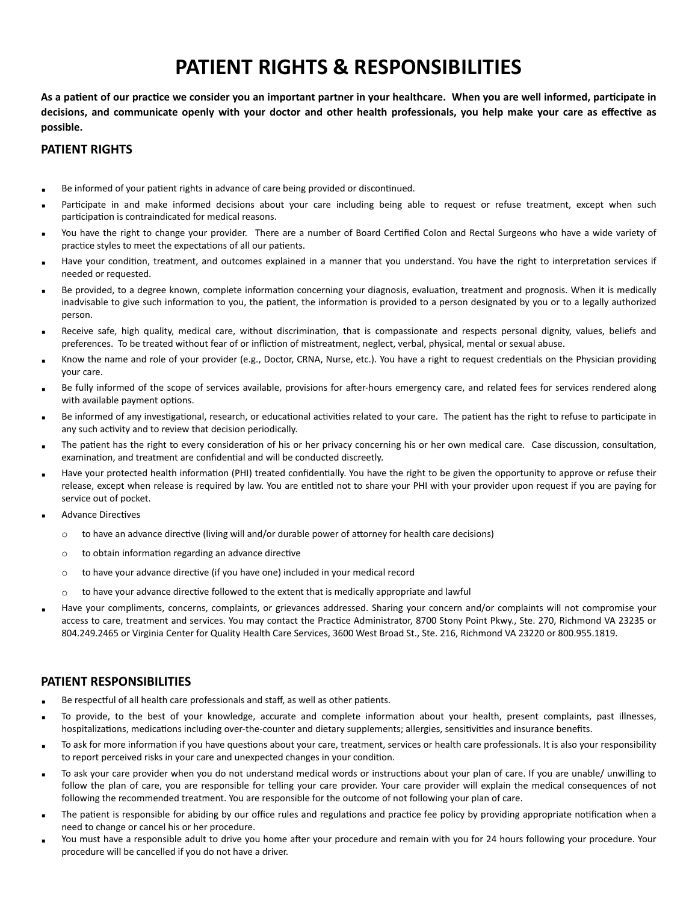## **PATIENT RIGHTS & RESPONSIBILITIES**

**As a patient of our practice we consider you an important partner in your healthcare. When you are well informed, participate in decisions, and communicate openly with your doctor and other health professionals, you help make your care as effective as possible.**

## **PATIENT RIGHTS**

- Be informed of your patient rights in advance of care being provided or discontinued.
- Participate in and make informed decisions about your care including being able to request or refuse treatment, except when such participation is contraindicated for medical reasons.
- You have the right to change your provider. There are a number of Board Certified Colon and Rectal Surgeons who have a wide variety of practice styles to meet the expectations of all our patients.
- Have your condition, treatment, and outcomes explained in a manner that you understand. You have the right to interpretation services if needed or requested.
- Be provided, to a degree known, complete information concerning your diagnosis, evaluation, treatment and prognosis. When it is medically inadvisable to give such information to you, the patient, the information is provided to a person designated by you or to a legally authorized person.
- Receive safe, high quality, medical care, without discrimination, that is compassionate and respects personal dignity, values, beliefs and preferences. To be treated without fear of or infliction of mistreatment, neglect, verbal, physical, mental or sexual abuse.
- Know the name and role of your provider (e.g., Doctor, CRNA, Nurse, etc.). You have a right to request credentials on the Physician providing your care.
- Be fully informed of the scope of services available, provisions for after-hours emergency care, and related fees for services rendered along with available payment options.
- Be informed of any investigational, research, or educational activities related to your care. The patient has the right to refuse to participate in any such activity and to review that decision periodically.
- The patient has the right to every consideration of his or her privacy concerning his or her own medical care. Case discussion, consultation, examination, and treatment are confidential and will be conducted discreetly.
- Have your protected health information (PHI) treated confidentially. You have the right to be given the opportunity to approve or refuse their release, except when release is required by law. You are entitled not to share your PHI with your provider upon request if you are paying for service out of pocket.
- **Advance Directives** 
	- $\circ$  to have an advance directive (living will and/or durable power of attorney for health care decisions)
	- o to obtain information regarding an advance directive
	- o to have your advance directive (if you have one) included in your medical record
	- $\circ$  to have your advance directive followed to the extent that is medically appropriate and lawful
- Have your compliments, concerns, complaints, or grievances addressed. Sharing your concern and/or complaints will not compromise your access to care, treatment and services. You may contact the Practice Administrator, 8700 Stony Point Pkwy., Ste. 270, Richmond VA 23235 or 804.249.2465 or Virginia Center for Quality Health Care Services, 3600 West Broad St., Ste. 216, Richmond VA 23220 or 800.955.1819.

## **PATIENT RESPONSIBILITIES**

- Be respectful of all health care professionals and staff, as well as other patients.
- To provide, to the best of your knowledge, accurate and complete information about your health, present complaints, past illnesses, hospitalizations, medications including over-the-counter and dietary supplements; allergies, sensitivities and insurance benefits.
- To ask for more information if you have questions about your care, treatment, services or health care professionals. It is also your responsibility to report perceived risks in your care and unexpected changes in your condition.
- To ask your care provider when you do not understand medical words or instructions about your plan of care. If you are unable/ unwilling to follow the plan of care, you are responsible for telling your care provider. Your care provider will explain the medical consequences of not following the recommended treatment. You are responsible for the outcome of not following your plan of care.
- The patient is responsible for abiding by our office rules and regulations and practice fee policy by providing appropriate notification when a need to change or cancel his or her procedure.
- You must have a responsible adult to drive you home after your procedure and remain with you for 24 hours following your procedure. Your procedure will be cancelled if you do not have a driver.